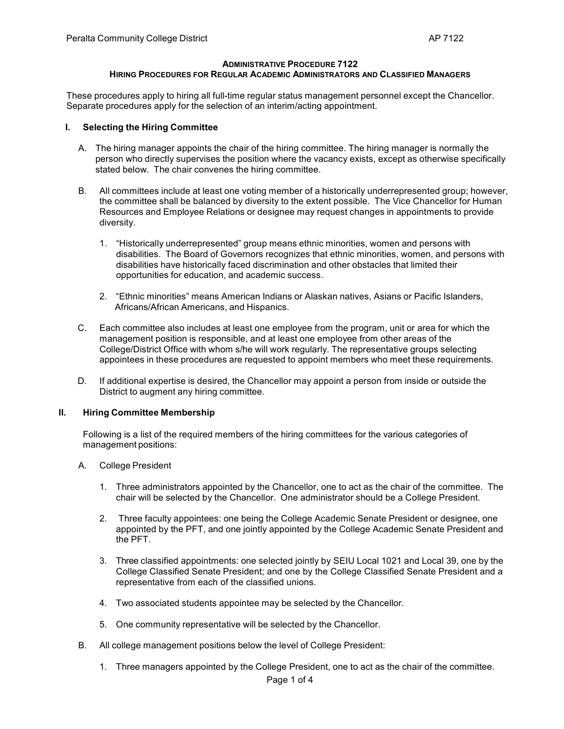# **ADMINISTRATIVE PROCEDURE 7122**

# **HIRING PROCEDURES FOR REGULAR ACADEMIC ADMINISTRATORS AND CLASSIFIED MANAGERS**

These procedures apply to hiring all full-time regular status management personnel except the Chancellor. Separate procedures apply for the selection of an interim/acting appointment.

### **I. Selecting the Hiring Committee**

- A. The hiring manager appoints the chair of the hiring committee. The hiring manager is normally the person who directly supervises the position where the vacancy exists, except as otherwise specifically stated below. The chair convenes the hiring committee.
- B. All committees include at least one voting member of a historically underrepresented group; however, the committee shall be balanced by diversity to the extent possible. The Vice Chancellor for Human Resources and Employee Relations or designee may request changes in appointments to provide diversity.
	- 1. "Historically underrepresented" group means ethnic minorities, women and persons with disabilities. The Board of Governors recognizes that ethnic minorities, women, and persons with disabilities have historically faced discrimination and other obstacles that limited their opportunities for education, and academic success.
	- 2. "Ethnic minorities" means American Indians or Alaskan natives, Asians or Pacific Islanders, Africans/African Americans, and Hispanics.
- C. Each committee also includes at least one employee from the program, unit or area for which the management position is responsible, and at least one employee from other areas of the College/District Office with whom s/he will work regularly. The representative groups selecting appointees in these procedures are requested to appoint members who meet these requirements.
- D. If additional expertise is desired, the Chancellor may appoint a person from inside or outside the District to augment any hiring committee.

#### **II. Hiring Committee Membership**

Following is a list of the required members of the hiring committees for the various categories of management positions:

- A. College President
	- 1. Three administrators appointed by the Chancellor, one to act as the chair of the committee. The chair will be selected by the Chancellor. One administrator should be a College President.
	- 2. Three faculty appointees: one being the College Academic Senate President or designee, one appointed by the PFT, and one jointly appointed by the College Academic Senate President and the PFT.
	- 3. Three classified appointments: one selected jointly by SEIU Local 1021 and Local 39, one by the College Classified Senate President; and one by the College Classified Senate President and a representative from each of the classified unions.
	- 4. Two associated students appointee may be selected by the Chancellor.
	- 5. One community representative will be selected by the Chancellor.
- B. All college management positions below the level of College President:
	- 1. Three managers appointed by the College President, one to act as the chair of the committee.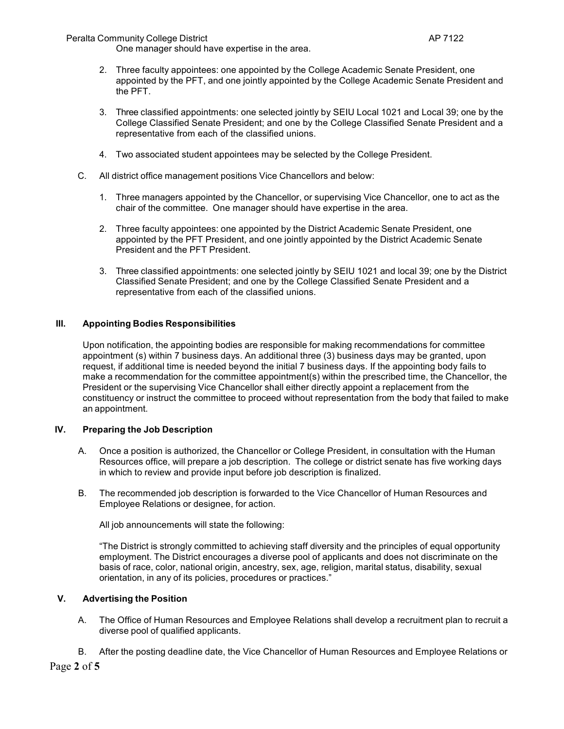Peralta Community College District AP 7122

One manager should have expertise in the area.

- 2. Three faculty appointees: one appointed by the College Academic Senate President, one appointed by the PFT, and one jointly appointed by the College Academic Senate President and the PFT.
- 3. Three classified appointments: one selected jointly by SEIU Local 1021 and Local 39; one by the College Classified Senate President; and one by the College Classified Senate President and a representative from each of the classified unions.
- 4. Two associated student appointees may be selected by the College President.
- C. All district office management positions Vice Chancellors and below:
	- 1. Three managers appointed by the Chancellor, or supervising Vice Chancellor, one to act as the chair of the committee. One manager should have expertise in the area.
	- 2. Three faculty appointees: one appointed by the District Academic Senate President, one appointed by the PFT President, and one jointly appointed by the District Academic Senate President and the PFT President.
	- 3. Three classified appointments: one selected jointly by SEIU 1021 and local 39; one by the District Classified Senate President; and one by the College Classified Senate President and a representative from each of the classified unions.

## **III. Appointing Bodies Responsibilities**

Upon notification, the appointing bodies are responsible for making recommendations for committee appointment (s) within 7 business days. An additional three (3) business days may be granted, upon request, if additional time is needed beyond the initial 7 business days. If the appointing body fails to make a recommendation for the committee appointment(s) within the prescribed time, the Chancellor, the President or the supervising Vice Chancellor shall either directly appoint a replacement from the constituency or instruct the committee to proceed without representation from the body that failed to make an appointment.

#### **IV. Preparing the Job Description**

- A. Once a position is authorized, the Chancellor or College President, in consultation with the Human Resources office, will prepare a job description. The college or district senate has five working days in which to review and provide input before job description is finalized.
- B. The recommended job description is forwarded to the Vice Chancellor of Human Resources and Employee Relations or designee, for action.

All job announcements will state the following:

"The District is strongly committed to achieving staff diversity and the principles of equal opportunity employment. The District encourages a diverse pool of applicants and does not discriminate on the basis of race, color, national origin, ancestry, sex, age, religion, marital status, disability, sexual orientation, in any of its policies, procedures or practices."

# **V. Advertising the Position**

- A. The Office of Human Resources and Employee Relations shall develop a recruitment plan to recruit a diverse pool of qualified applicants.
- B. After the posting deadline date, the Vice Chancellor of Human Resources and Employee Relations or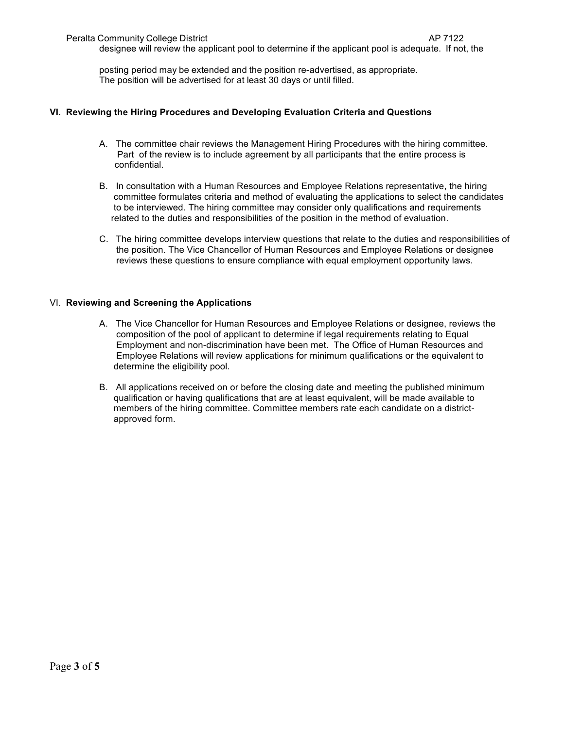designee will review the applicant pool to determine if the applicant pool is adequate. If not, the

posting period may be extended and the position re-advertised, as appropriate. The position will be advertised for at least 30 days or until filled.

# **VI. Reviewing the Hiring Procedures and Developing Evaluation Criteria and Questions**

- A. The committee chair reviews the Management Hiring Procedures with the hiring committee. Part of the review is to include agreement by all participants that the entire process is confidential.
- B. In consultation with a Human Resources and Employee Relations representative, the hiring committee formulates criteria and method of evaluating the applications to select the candidates to be interviewed. The hiring committee may consider only qualifications and requirements related to the duties and responsibilities of the position in the method of evaluation.
- C. The hiring committee develops interview questions that relate to the duties and responsibilities of the position. The Vice Chancellor of Human Resources and Employee Relations or designee reviews these questions to ensure compliance with equal employment opportunity laws.

### VI. **Reviewing and Screening the Applications**

- A. The Vice Chancellor for Human Resources and Employee Relations or designee, reviews the composition of the pool of applicant to determine if legal requirements relating to Equal Employment and non-discrimination have been met. The Office of Human Resources and Employee Relations will review applications for minimum qualifications or the equivalent to determine the eligibility pool.
- B. All applications received on or before the closing date and meeting the published minimum qualification or having qualifications that are at least equivalent, will be made available to members of the hiring committee. Committee members rate each candidate on a district approved form.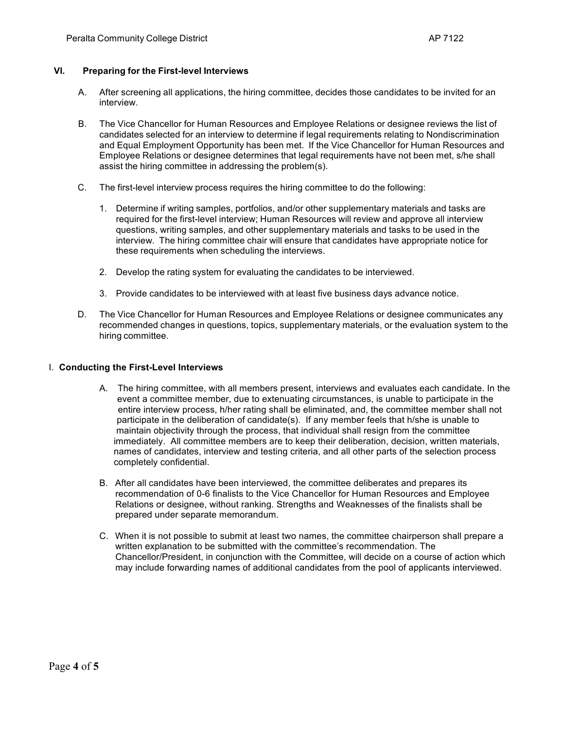## **VI. Preparing for the First-level Interviews**

- A. After screening all applications, the hiring committee, decides those candidates to be invited for an interview.
- B. The Vice Chancellor for Human Resources and Employee Relations or designee reviews the list of candidates selected for an interview to determine if legal requirements relating to Nondiscrimination and Equal Employment Opportunity has been met. If the Vice Chancellor for Human Resources and Employee Relations or designee determines that legal requirements have not been met, s/he shall assist the hiring committee in addressing the problem(s).
- C. The first-level interview process requires the hiring committee to do the following:
	- 1. Determine if writing samples, portfolios, and/or other supplementary materials and tasks are required for the first-level interview; Human Resources will review and approve all interview questions, writing samples, and other supplementary materials and tasks to be used in the interview. The hiring committee chair will ensure that candidates have appropriate notice for these requirements when scheduling the interviews.
	- 2. Develop the rating system for evaluating the candidates to be interviewed.
	- 3. Provide candidates to be interviewed with at least five business days advance notice.
- D. The Vice Chancellor for Human Resources and Employee Relations or designee communicates any recommended changes in questions, topics, supplementary materials, or the evaluation system to the hiring committee.

### I. **Conducting the First-Level Interviews**

- A. The hiring committee, with all members present, interviews and evaluates each candidate. In the event a committee member, due to extenuating circumstances, is unable to participate in the entire interview process, h/her rating shall be eliminated, and, the committee member shall not participate in the deliberation of candidate(s). If any member feels that h/she is unable to maintain objectivity through the process, that individual shall resign from the committee immediately. All committee members are to keep their deliberation, decision, written materials, names of candidates, interview and testing criteria, and all other parts of the selection process completely confidential.
- B. After all candidates have been interviewed, the committee deliberates and prepares its recommendation of 0-6 finalists to the Vice Chancellor for Human Resources and Employee Relations or designee, without ranking. Strengths and Weaknesses of the finalists shall be prepared under separate memorandum.
- C. When it is not possible to submit at least two names, the committee chairperson shall prepare a written explanation to be submitted with the committee's recommendation. The Chancellor/President, in conjunction with the Committee, will decide on a course of action which may include forwarding names of additional candidates from the pool of applicants interviewed.